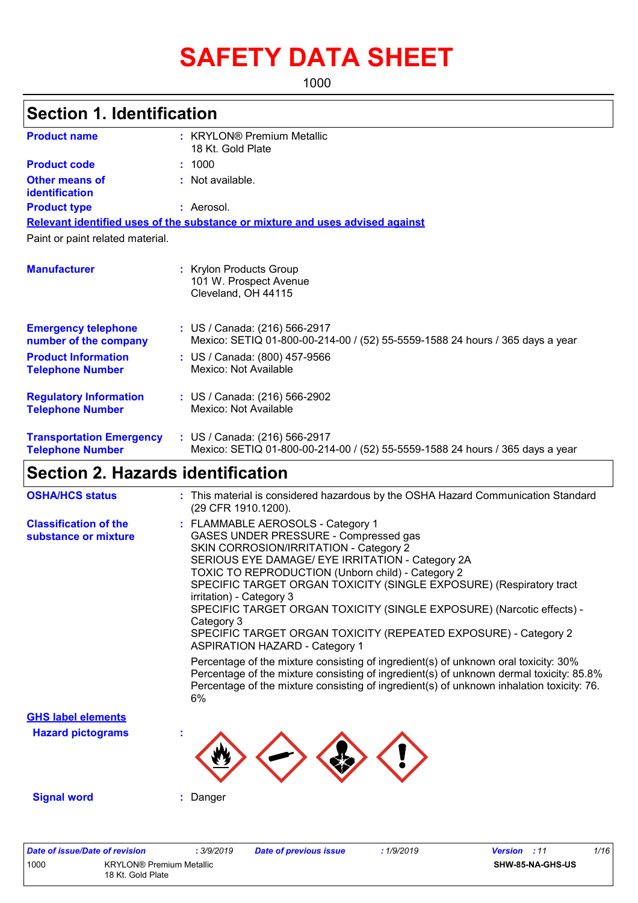# **SAFETY DATA SHEET**

1000

| <b>Product name</b>                                        | : KRYLON® Premium Metallic<br>18 Kt. Gold Plate                                                                                                                                                                                                                                                                                                                                                                                                                                                                                                                                                                                                                                                                                                                                                                          |
|------------------------------------------------------------|--------------------------------------------------------------------------------------------------------------------------------------------------------------------------------------------------------------------------------------------------------------------------------------------------------------------------------------------------------------------------------------------------------------------------------------------------------------------------------------------------------------------------------------------------------------------------------------------------------------------------------------------------------------------------------------------------------------------------------------------------------------------------------------------------------------------------|
| <b>Product code</b>                                        | : 1000                                                                                                                                                                                                                                                                                                                                                                                                                                                                                                                                                                                                                                                                                                                                                                                                                   |
| <b>Other means of</b><br>identification                    | : Not available.                                                                                                                                                                                                                                                                                                                                                                                                                                                                                                                                                                                                                                                                                                                                                                                                         |
| <b>Product type</b>                                        | : Aerosol.                                                                                                                                                                                                                                                                                                                                                                                                                                                                                                                                                                                                                                                                                                                                                                                                               |
|                                                            | Relevant identified uses of the substance or mixture and uses advised against                                                                                                                                                                                                                                                                                                                                                                                                                                                                                                                                                                                                                                                                                                                                            |
| Paint or paint related material.                           |                                                                                                                                                                                                                                                                                                                                                                                                                                                                                                                                                                                                                                                                                                                                                                                                                          |
| <b>Manufacturer</b>                                        | : Krylon Products Group<br>101 W. Prospect Avenue<br>Cleveland, OH 44115                                                                                                                                                                                                                                                                                                                                                                                                                                                                                                                                                                                                                                                                                                                                                 |
| <b>Emergency telephone</b><br>number of the company        | : US / Canada: (216) 566-2917<br>Mexico: SETIQ 01-800-00-214-00 / (52) 55-5559-1588 24 hours / 365 days a year                                                                                                                                                                                                                                                                                                                                                                                                                                                                                                                                                                                                                                                                                                           |
| <b>Product Information</b><br><b>Telephone Number</b>      | : US / Canada: (800) 457-9566<br>Mexico: Not Available                                                                                                                                                                                                                                                                                                                                                                                                                                                                                                                                                                                                                                                                                                                                                                   |
| <b>Regulatory Information</b><br><b>Telephone Number</b>   | : US / Canada: (216) 566-2902<br>Mexico: Not Available                                                                                                                                                                                                                                                                                                                                                                                                                                                                                                                                                                                                                                                                                                                                                                   |
| <b>Transportation Emergency</b><br><b>Telephone Number</b> | : US / Canada: (216) 566-2917<br>Mexico: SETIQ 01-800-00-214-00 / (52) 55-5559-1588 24 hours / 365 days a year                                                                                                                                                                                                                                                                                                                                                                                                                                                                                                                                                                                                                                                                                                           |
| <b>Section 2. Hazards identification</b>                   |                                                                                                                                                                                                                                                                                                                                                                                                                                                                                                                                                                                                                                                                                                                                                                                                                          |
| <b>OSHA/HCS status</b>                                     | : This material is considered hazardous by the OSHA Hazard Communication Standard<br>(29 CFR 1910.1200).                                                                                                                                                                                                                                                                                                                                                                                                                                                                                                                                                                                                                                                                                                                 |
| <b>Classification of the</b><br>substance or mixture       | : FLAMMABLE AEROSOLS - Category 1<br>GASES UNDER PRESSURE - Compressed gas<br>SKIN CORROSION/IRRITATION - Category 2<br>SERIOUS EYE DAMAGE/ EYE IRRITATION - Category 2A<br>TOXIC TO REPRODUCTION (Unborn child) - Category 2<br>SPECIFIC TARGET ORGAN TOXICITY (SINGLE EXPOSURE) (Respiratory tract<br>irritation) - Category 3<br>SPECIFIC TARGET ORGAN TOXICITY (SINGLE EXPOSURE) (Narcotic effects) -<br>Category 3<br>SPECIFIC TARGET ORGAN TOXICITY (REPEATED EXPOSURE) - Category 2<br><b>ASPIRATION HAZARD - Category 1</b><br>Percentage of the mixture consisting of ingredient(s) of unknown oral toxicity: 30%<br>Percentage of the mixture consisting of ingredient(s) of unknown dermal toxicity: 85.8%<br>Percentage of the mixture consisting of ingredient(s) of unknown inhalation toxicity: 76.<br>6% |
| <b>GHS label elements</b>                                  |                                                                                                                                                                                                                                                                                                                                                                                                                                                                                                                                                                                                                                                                                                                                                                                                                          |
| <b>Hazard pictograms</b>                                   |                                                                                                                                                                                                                                                                                                                                                                                                                                                                                                                                                                                                                                                                                                                                                                                                                          |
|                                                            |                                                                                                                                                                                                                                                                                                                                                                                                                                                                                                                                                                                                                                                                                                                                                                                                                          |

| Date of issue/Date of revision |                                                      | . 3/9/2019 | Date of previous issue | 1/9/2019 | <b>Version</b> : 11 | 1/16 |
|--------------------------------|------------------------------------------------------|------------|------------------------|----------|---------------------|------|
| 1000                           | <b>KRYLON®</b> Premium Metallic<br>18 Kt. Gold Plate |            |                        |          | SHW-85-NA-GHS-US    |      |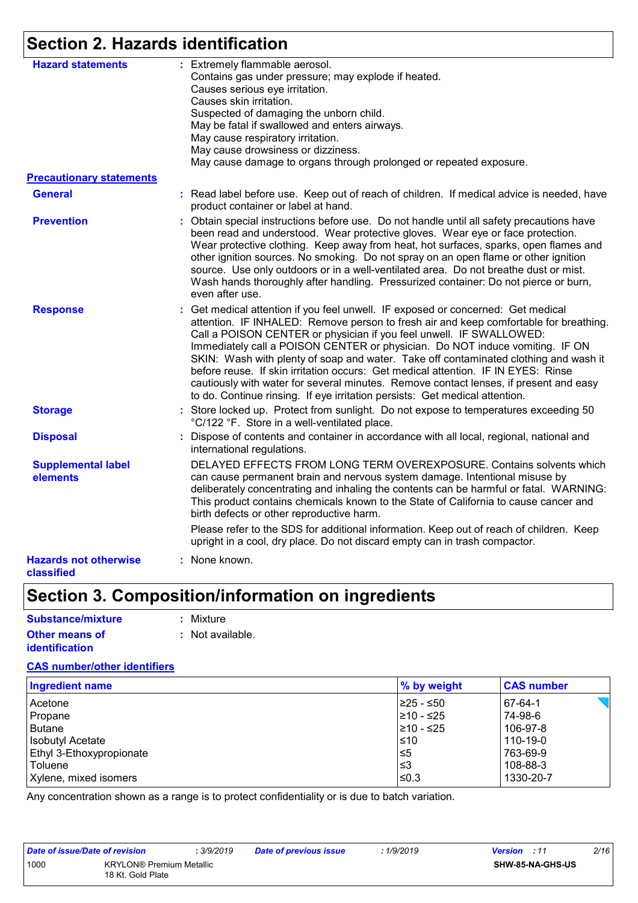## **Section 2. Hazards identification**

| <b>Hazard statements</b>                   | : Extremely flammable aerosol.<br>Contains gas under pressure; may explode if heated.<br>Causes serious eye irritation.<br>Causes skin irritation.                                                                                                                                                                                                                                                                                                                                                                                                                                                                                                                                    |
|--------------------------------------------|---------------------------------------------------------------------------------------------------------------------------------------------------------------------------------------------------------------------------------------------------------------------------------------------------------------------------------------------------------------------------------------------------------------------------------------------------------------------------------------------------------------------------------------------------------------------------------------------------------------------------------------------------------------------------------------|
|                                            | Suspected of damaging the unborn child.<br>May be fatal if swallowed and enters airways.                                                                                                                                                                                                                                                                                                                                                                                                                                                                                                                                                                                              |
|                                            | May cause respiratory irritation.                                                                                                                                                                                                                                                                                                                                                                                                                                                                                                                                                                                                                                                     |
|                                            | May cause drowsiness or dizziness.<br>May cause damage to organs through prolonged or repeated exposure.                                                                                                                                                                                                                                                                                                                                                                                                                                                                                                                                                                              |
| <b>Precautionary statements</b>            |                                                                                                                                                                                                                                                                                                                                                                                                                                                                                                                                                                                                                                                                                       |
| <b>General</b>                             | : Read label before use. Keep out of reach of children. If medical advice is needed, have<br>product container or label at hand.                                                                                                                                                                                                                                                                                                                                                                                                                                                                                                                                                      |
| <b>Prevention</b>                          | : Obtain special instructions before use. Do not handle until all safety precautions have<br>been read and understood. Wear protective gloves. Wear eye or face protection.<br>Wear protective clothing. Keep away from heat, hot surfaces, sparks, open flames and<br>other ignition sources. No smoking. Do not spray on an open flame or other ignition<br>source. Use only outdoors or in a well-ventilated area. Do not breathe dust or mist.<br>Wash hands thoroughly after handling. Pressurized container: Do not pierce or burn,<br>even after use.                                                                                                                          |
| <b>Response</b>                            | : Get medical attention if you feel unwell. IF exposed or concerned: Get medical<br>attention. IF INHALED: Remove person to fresh air and keep comfortable for breathing.<br>Call a POISON CENTER or physician if you feel unwell. IF SWALLOWED:<br>Immediately call a POISON CENTER or physician. Do NOT induce vomiting. IF ON<br>SKIN: Wash with plenty of soap and water. Take off contaminated clothing and wash it<br>before reuse. If skin irritation occurs: Get medical attention. IF IN EYES: Rinse<br>cautiously with water for several minutes. Remove contact lenses, if present and easy<br>to do. Continue rinsing. If eye irritation persists: Get medical attention. |
| <b>Storage</b>                             | : Store locked up. Protect from sunlight. Do not expose to temperatures exceeding 50<br>°C/122 °F. Store in a well-ventilated place.                                                                                                                                                                                                                                                                                                                                                                                                                                                                                                                                                  |
| <b>Disposal</b>                            | Dispose of contents and container in accordance with all local, regional, national and<br>international regulations.                                                                                                                                                                                                                                                                                                                                                                                                                                                                                                                                                                  |
| <b>Supplemental label</b><br>elements      | DELAYED EFFECTS FROM LONG TERM OVEREXPOSURE. Contains solvents which<br>can cause permanent brain and nervous system damage. Intentional misuse by<br>deliberately concentrating and inhaling the contents can be harmful or fatal. WARNING:<br>This product contains chemicals known to the State of California to cause cancer and<br>birth defects or other reproductive harm.                                                                                                                                                                                                                                                                                                     |
|                                            | Please refer to the SDS for additional information. Keep out of reach of children. Keep<br>upright in a cool, dry place. Do not discard empty can in trash compactor.                                                                                                                                                                                                                                                                                                                                                                                                                                                                                                                 |
| <b>Hazards not otherwise</b><br>classified | : None known.                                                                                                                                                                                                                                                                                                                                                                                                                                                                                                                                                                                                                                                                         |

## **Section 3. Composition/information on ingredients**

| Substance/mixture     | : Mixture        |
|-----------------------|------------------|
| <b>Other means of</b> | : Not available. |
| <i>identification</i> |                  |

#### **CAS number/other identifiers**

| <b>Ingredient name</b>          | % by weight | <b>CAS number</b> |
|---------------------------------|-------------|-------------------|
| Acetone                         | 225 - ≤50   | 67-64-1           |
| Propane                         | l≥10 - ≤25  | 74-98-6           |
| Butane                          | 210 - ≤25   | 106-97-8          |
| <b>Isobutyl Acetate</b>         | $\leq 10$   | 110-19-0          |
| <b>Ethyl 3-Ethoxypropionate</b> | 5≥ا         | 763-69-9          |
| Toluene                         | ב≥          | 108-88-3          |
| Xylene, mixed isomers           | ≤0.3        | 1330-20-7         |

Any concentration shown as a range is to protect confidentiality or is due to batch variation.

| Date of issue/Date of revision |                                                      | .3/9/2019 | Date of previous issue | 1/9/2019 | <b>Version</b> : 11 |                         | 2/16 |
|--------------------------------|------------------------------------------------------|-----------|------------------------|----------|---------------------|-------------------------|------|
| 1000                           | <b>KRYLON®</b> Premium Metallic<br>18 Kt. Gold Plate |           |                        |          |                     | <b>SHW-85-NA-GHS-US</b> |      |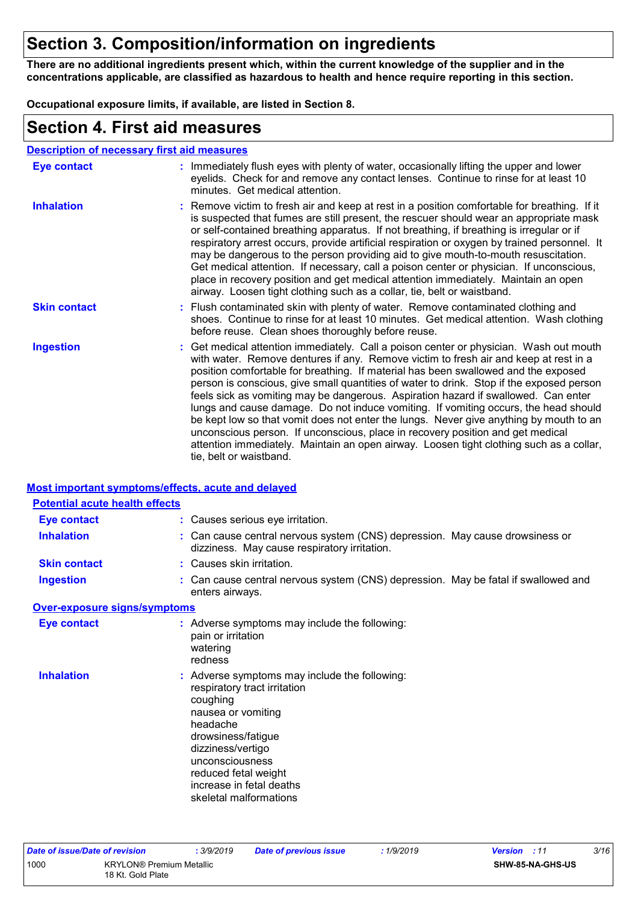### **Section 3. Composition/information on ingredients**

**There are no additional ingredients present which, within the current knowledge of the supplier and in the concentrations applicable, are classified as hazardous to health and hence require reporting in this section.**

**Occupational exposure limits, if available, are listed in Section 8.**

### **Section 4. First aid measures**

| <b>Description of necessary first aid measures</b> |                                                                                                                                                                                                                                                                                                                                                                                                                                                                                                                                                                                                                                                                                                                                                                                                                                                 |
|----------------------------------------------------|-------------------------------------------------------------------------------------------------------------------------------------------------------------------------------------------------------------------------------------------------------------------------------------------------------------------------------------------------------------------------------------------------------------------------------------------------------------------------------------------------------------------------------------------------------------------------------------------------------------------------------------------------------------------------------------------------------------------------------------------------------------------------------------------------------------------------------------------------|
| <b>Eye contact</b>                                 | : Immediately flush eyes with plenty of water, occasionally lifting the upper and lower<br>eyelids. Check for and remove any contact lenses. Continue to rinse for at least 10<br>minutes. Get medical attention.                                                                                                                                                                                                                                                                                                                                                                                                                                                                                                                                                                                                                               |
| <b>Inhalation</b>                                  | : Remove victim to fresh air and keep at rest in a position comfortable for breathing. If it<br>is suspected that fumes are still present, the rescuer should wear an appropriate mask<br>or self-contained breathing apparatus. If not breathing, if breathing is irregular or if<br>respiratory arrest occurs, provide artificial respiration or oxygen by trained personnel. It<br>may be dangerous to the person providing aid to give mouth-to-mouth resuscitation.<br>Get medical attention. If necessary, call a poison center or physician. If unconscious,<br>place in recovery position and get medical attention immediately. Maintain an open<br>airway. Loosen tight clothing such as a collar, tie, belt or waistband.                                                                                                            |
| <b>Skin contact</b>                                | : Flush contaminated skin with plenty of water. Remove contaminated clothing and<br>shoes. Continue to rinse for at least 10 minutes. Get medical attention. Wash clothing<br>before reuse. Clean shoes thoroughly before reuse.                                                                                                                                                                                                                                                                                                                                                                                                                                                                                                                                                                                                                |
| <b>Ingestion</b>                                   | : Get medical attention immediately. Call a poison center or physician. Wash out mouth<br>with water. Remove dentures if any. Remove victim to fresh air and keep at rest in a<br>position comfortable for breathing. If material has been swallowed and the exposed<br>person is conscious, give small quantities of water to drink. Stop if the exposed person<br>feels sick as vomiting may be dangerous. Aspiration hazard if swallowed. Can enter<br>lungs and cause damage. Do not induce vomiting. If vomiting occurs, the head should<br>be kept low so that vomit does not enter the lungs. Never give anything by mouth to an<br>unconscious person. If unconscious, place in recovery position and get medical<br>attention immediately. Maintain an open airway. Loosen tight clothing such as a collar,<br>tie, belt or waistband. |

#### **Most important symptoms/effects, acute and delayed**

| <b>Potential acute health effects</b> |                                                                                                                                                                                                                                                                         |
|---------------------------------------|-------------------------------------------------------------------------------------------------------------------------------------------------------------------------------------------------------------------------------------------------------------------------|
| <b>Eye contact</b>                    | : Causes serious eye irritation.                                                                                                                                                                                                                                        |
| <b>Inhalation</b>                     | : Can cause central nervous system (CNS) depression. May cause drowsiness or<br>dizziness. May cause respiratory irritation.                                                                                                                                            |
| <b>Skin contact</b>                   | : Causes skin irritation.                                                                                                                                                                                                                                               |
| <b>Ingestion</b>                      | : Can cause central nervous system (CNS) depression. May be fatal if swallowed and<br>enters airways.                                                                                                                                                                   |
| Over-exposure signs/symptoms          |                                                                                                                                                                                                                                                                         |
| Eye contact                           | : Adverse symptoms may include the following:<br>pain or irritation<br>watering<br>redness                                                                                                                                                                              |
| <b>Inhalation</b>                     | : Adverse symptoms may include the following:<br>respiratory tract irritation<br>coughing<br>nausea or vomiting<br>headache<br>drowsiness/fatigue<br>dizziness/vertigo<br>unconsciousness<br>reduced fetal weight<br>increase in fetal deaths<br>skeletal malformations |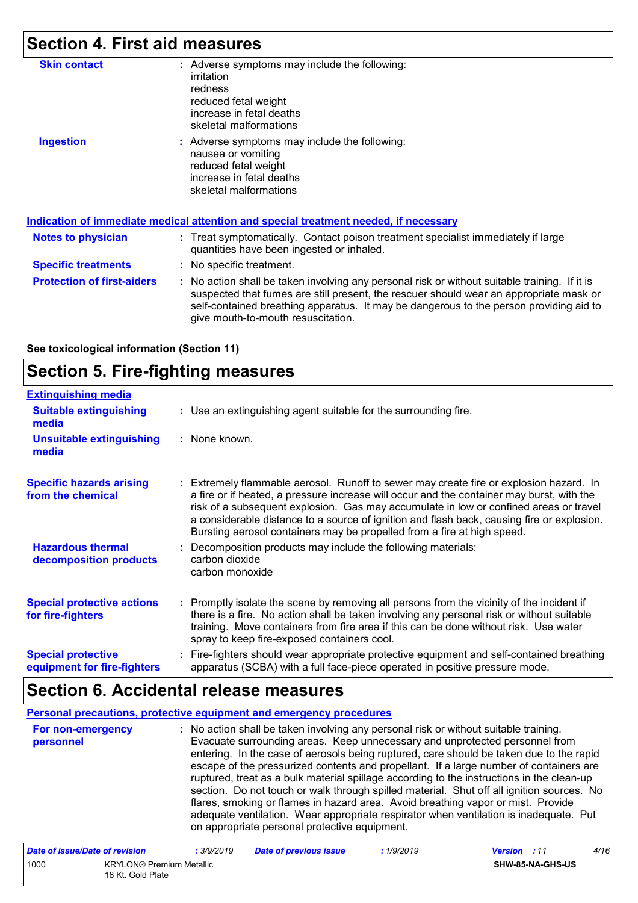## **Section 4. First aid measures**

| <b>Skin contact</b>               | : Adverse symptoms may include the following:<br>irritation<br>redness<br>reduced fetal weight<br>increase in fetal deaths<br>skeletal malformations                                                                                                                                                                    |
|-----------------------------------|-------------------------------------------------------------------------------------------------------------------------------------------------------------------------------------------------------------------------------------------------------------------------------------------------------------------------|
| <b>Ingestion</b>                  | : Adverse symptoms may include the following:<br>nausea or vomiting<br>reduced fetal weight<br>increase in fetal deaths<br>skeletal malformations                                                                                                                                                                       |
|                                   | <u>Indication of immediate medical attention and special treatment needed, if necessary</u>                                                                                                                                                                                                                             |
| <b>Notes to physician</b>         | : Treat symptomatically. Contact poison treatment specialist immediately if large<br>quantities have been ingested or inhaled.                                                                                                                                                                                          |
| <b>Specific treatments</b>        | : No specific treatment.                                                                                                                                                                                                                                                                                                |
| <b>Protection of first-aiders</b> | : No action shall be taken involving any personal risk or without suitable training. If it is<br>suspected that fumes are still present, the rescuer should wear an appropriate mask or<br>self-contained breathing apparatus. It may be dangerous to the person providing aid to<br>give mouth-to-mouth resuscitation. |

**See toxicological information (Section 11)**

### **Section 5. Fire-fighting measures**

| <b>Extinguishing media</b>                               |                                                                                                                                                                                                                                                                                                                                                                                                                                                       |
|----------------------------------------------------------|-------------------------------------------------------------------------------------------------------------------------------------------------------------------------------------------------------------------------------------------------------------------------------------------------------------------------------------------------------------------------------------------------------------------------------------------------------|
| <b>Suitable extinguishing</b><br>media                   | : Use an extinguishing agent suitable for the surrounding fire.                                                                                                                                                                                                                                                                                                                                                                                       |
| <b>Unsuitable extinguishing</b><br>media                 | : None known.                                                                                                                                                                                                                                                                                                                                                                                                                                         |
| <b>Specific hazards arising</b><br>from the chemical     | : Extremely flammable aerosol. Runoff to sewer may create fire or explosion hazard. In<br>a fire or if heated, a pressure increase will occur and the container may burst, with the<br>risk of a subsequent explosion. Gas may accumulate in low or confined areas or travel<br>a considerable distance to a source of ignition and flash back, causing fire or explosion.<br>Bursting aerosol containers may be propelled from a fire at high speed. |
| <b>Hazardous thermal</b><br>decomposition products       | : Decomposition products may include the following materials:<br>carbon dioxide<br>carbon monoxide                                                                                                                                                                                                                                                                                                                                                    |
| <b>Special protective actions</b><br>for fire-fighters   | : Promptly isolate the scene by removing all persons from the vicinity of the incident if<br>there is a fire. No action shall be taken involving any personal risk or without suitable<br>training. Move containers from fire area if this can be done without risk. Use water<br>spray to keep fire-exposed containers cool.                                                                                                                         |
| <b>Special protective</b><br>equipment for fire-fighters | : Fire-fighters should wear appropriate protective equipment and self-contained breathing<br>apparatus (SCBA) with a full face-piece operated in positive pressure mode.                                                                                                                                                                                                                                                                              |

## **Section 6. Accidental release measures**

|                                | Personal precautions, protective equipment and emergency procedures                                                                                                                                                                                                                                                                                                                                                                                                                                                                                                                                                                                                                                                                                                              |
|--------------------------------|----------------------------------------------------------------------------------------------------------------------------------------------------------------------------------------------------------------------------------------------------------------------------------------------------------------------------------------------------------------------------------------------------------------------------------------------------------------------------------------------------------------------------------------------------------------------------------------------------------------------------------------------------------------------------------------------------------------------------------------------------------------------------------|
| For non-emergency<br>personnel | : No action shall be taken involving any personal risk or without suitable training.<br>Evacuate surrounding areas. Keep unnecessary and unprotected personnel from<br>entering. In the case of aerosols being ruptured, care should be taken due to the rapid<br>escape of the pressurized contents and propellant. If a large number of containers are<br>ruptured, treat as a bulk material spillage according to the instructions in the clean-up<br>section. Do not touch or walk through spilled material. Shut off all ignition sources. No<br>flares, smoking or flames in hazard area. Avoid breathing vapor or mist. Provide<br>adequate ventilation. Wear appropriate respirator when ventilation is inadequate. Put<br>on appropriate personal protective equipment. |

| Date of issue/Date of revision |                                                      | : 3/9/2019 | <b>Date of previous issue</b> | : 1/9/2019 | <b>Version</b> : 11 |                  | 4/16 |
|--------------------------------|------------------------------------------------------|------------|-------------------------------|------------|---------------------|------------------|------|
| 1000                           | <b>KRYLON®</b> Premium Metallic<br>18 Kt. Gold Plate |            |                               |            |                     | SHW-85-NA-GHS-US |      |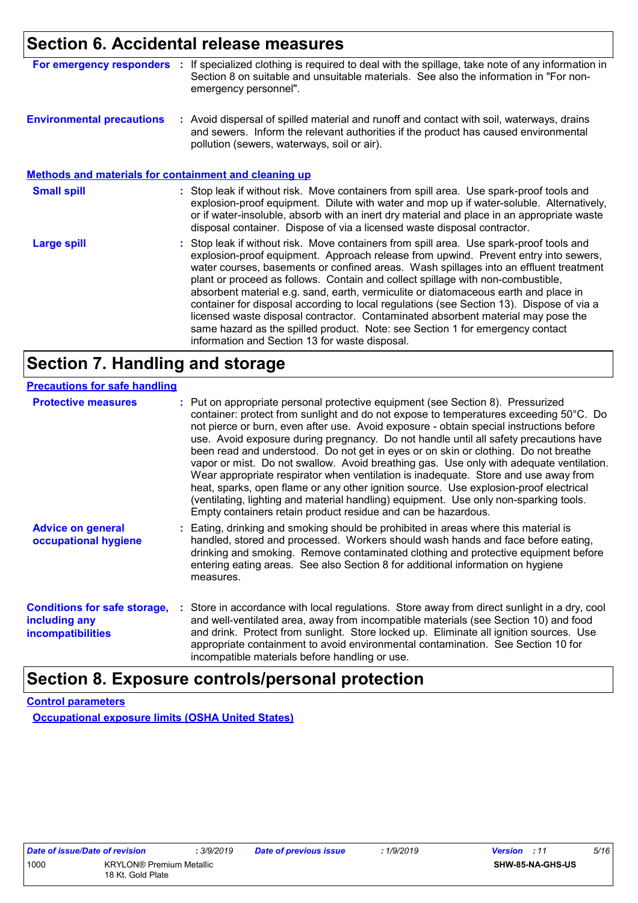## **Section 6. Accidental release measures**

|  | For emergency responders : If specialized clothing is required to deal with the spillage, take note of any information in |
|--|---------------------------------------------------------------------------------------------------------------------------|
|  | Section 8 on suitable and unsuitable materials. See also the information in "For non-                                     |
|  | emergency personnel".                                                                                                     |

**Environmental precautions :** Avoid dispersal of spilled material and runoff and contact with soil, waterways, drains and sewers. Inform the relevant authorities if the product has caused environmental pollution (sewers, waterways, soil or air).

#### **Methods and materials for containment and cleaning up**

| <b>Small spill</b> | : Stop leak if without risk. Move containers from spill area. Use spark-proof tools and<br>explosion-proof equipment. Dilute with water and mop up if water-soluble. Alternatively,<br>or if water-insoluble, absorb with an inert dry material and place in an appropriate waste<br>disposal container. Dispose of via a licensed waste disposal contractor.                                                                                                                                                                                                                                                                                                                                                                                                        |
|--------------------|----------------------------------------------------------------------------------------------------------------------------------------------------------------------------------------------------------------------------------------------------------------------------------------------------------------------------------------------------------------------------------------------------------------------------------------------------------------------------------------------------------------------------------------------------------------------------------------------------------------------------------------------------------------------------------------------------------------------------------------------------------------------|
| <b>Large spill</b> | : Stop leak if without risk. Move containers from spill area. Use spark-proof tools and<br>explosion-proof equipment. Approach release from upwind. Prevent entry into sewers,<br>water courses, basements or confined areas. Wash spillages into an effluent treatment<br>plant or proceed as follows. Contain and collect spillage with non-combustible,<br>absorbent material e.g. sand, earth, vermiculite or diatomaceous earth and place in<br>container for disposal according to local regulations (see Section 13). Dispose of via a<br>licensed waste disposal contractor. Contaminated absorbent material may pose the<br>same hazard as the spilled product. Note: see Section 1 for emergency contact<br>information and Section 13 for waste disposal. |

### **Section 7. Handling and storage**

| <b>Protective measures</b>                                                       | : Put on appropriate personal protective equipment (see Section 8). Pressurized<br>container: protect from sunlight and do not expose to temperatures exceeding 50°C. Do<br>not pierce or burn, even after use. Avoid exposure - obtain special instructions before<br>use. Avoid exposure during pregnancy. Do not handle until all safety precautions have<br>been read and understood. Do not get in eyes or on skin or clothing. Do not breathe<br>vapor or mist. Do not swallow. Avoid breathing gas. Use only with adequate ventilation.<br>Wear appropriate respirator when ventilation is inadequate. Store and use away from<br>heat, sparks, open flame or any other ignition source. Use explosion-proof electrical<br>(ventilating, lighting and material handling) equipment. Use only non-sparking tools.<br>Empty containers retain product residue and can be hazardous. |  |
|----------------------------------------------------------------------------------|------------------------------------------------------------------------------------------------------------------------------------------------------------------------------------------------------------------------------------------------------------------------------------------------------------------------------------------------------------------------------------------------------------------------------------------------------------------------------------------------------------------------------------------------------------------------------------------------------------------------------------------------------------------------------------------------------------------------------------------------------------------------------------------------------------------------------------------------------------------------------------------|--|
| <b>Advice on general</b><br>occupational hygiene                                 | : Eating, drinking and smoking should be prohibited in areas where this material is<br>handled, stored and processed. Workers should wash hands and face before eating,<br>drinking and smoking. Remove contaminated clothing and protective equipment before<br>entering eating areas. See also Section 8 for additional information on hygiene<br>measures.                                                                                                                                                                                                                                                                                                                                                                                                                                                                                                                            |  |
| <b>Conditions for safe storage,</b><br>including any<br><b>incompatibilities</b> | : Store in accordance with local regulations. Store away from direct sunlight in a dry, cool<br>and well-ventilated area, away from incompatible materials (see Section 10) and food<br>and drink. Protect from sunlight. Store locked up. Eliminate all ignition sources. Use<br>appropriate containment to avoid environmental contamination. See Section 10 for<br>incompatible materials before handling or use.                                                                                                                                                                                                                                                                                                                                                                                                                                                                     |  |

### **Section 8. Exposure controls/personal protection**

**Control parameters**

**Occupational exposure limits (OSHA United States)**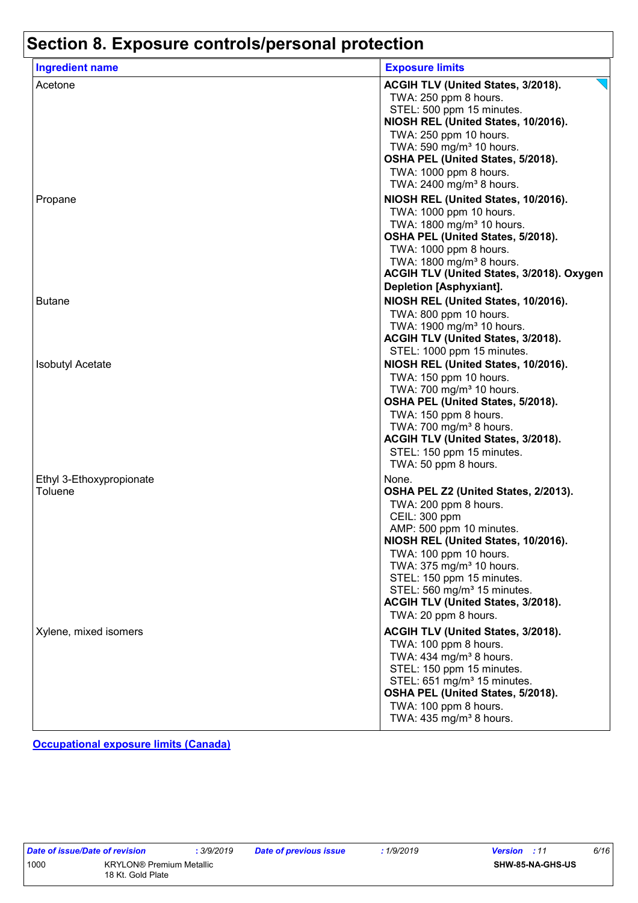| <b>Ingredient name</b>   | <b>Exposure limits</b>                    |
|--------------------------|-------------------------------------------|
| Acetone                  | ACGIH TLV (United States, 3/2018).        |
|                          | TWA: 250 ppm 8 hours.                     |
|                          | STEL: 500 ppm 15 minutes.                 |
|                          | NIOSH REL (United States, 10/2016).       |
|                          | TWA: 250 ppm 10 hours.                    |
|                          | TWA: 590 mg/m <sup>3</sup> 10 hours.      |
|                          | OSHA PEL (United States, 5/2018).         |
|                          | TWA: 1000 ppm 8 hours.                    |
|                          | TWA: 2400 mg/m <sup>3</sup> 8 hours.      |
| Propane                  | NIOSH REL (United States, 10/2016).       |
|                          | TWA: 1000 ppm 10 hours.                   |
|                          | TWA: 1800 mg/m <sup>3</sup> 10 hours.     |
|                          | OSHA PEL (United States, 5/2018).         |
|                          | TWA: 1000 ppm 8 hours.                    |
|                          | TWA: 1800 mg/m <sup>3</sup> 8 hours.      |
|                          | ACGIH TLV (United States, 3/2018). Oxygen |
|                          | <b>Depletion [Asphyxiant].</b>            |
|                          |                                           |
| <b>Butane</b>            | NIOSH REL (United States, 10/2016).       |
|                          | TWA: 800 ppm 10 hours.                    |
|                          | TWA: 1900 mg/m <sup>3</sup> 10 hours.     |
|                          | ACGIH TLV (United States, 3/2018).        |
|                          | STEL: 1000 ppm 15 minutes.                |
| <b>Isobutyl Acetate</b>  | NIOSH REL (United States, 10/2016).       |
|                          | TWA: 150 ppm 10 hours.                    |
|                          | TWA: 700 mg/m <sup>3</sup> 10 hours.      |
|                          | OSHA PEL (United States, 5/2018).         |
|                          | TWA: 150 ppm 8 hours.                     |
|                          | TWA: 700 mg/m <sup>3</sup> 8 hours.       |
|                          | ACGIH TLV (United States, 3/2018).        |
|                          | STEL: 150 ppm 15 minutes.                 |
|                          | TWA: 50 ppm 8 hours.                      |
| Ethyl 3-Ethoxypropionate | None.                                     |
| Toluene                  | OSHA PEL Z2 (United States, 2/2013).      |
|                          | TWA: 200 ppm 8 hours.                     |
|                          | CEIL: 300 ppm                             |
|                          | AMP: 500 ppm 10 minutes.                  |
|                          | NIOSH REL (United States, 10/2016).       |
|                          | TWA: 100 ppm 10 hours.                    |
|                          | TWA: 375 mg/m <sup>3</sup> 10 hours.      |
|                          | STEL: 150 ppm 15 minutes.                 |
|                          | STEL: 560 mg/m <sup>3</sup> 15 minutes.   |
|                          | ACGIH TLV (United States, 3/2018).        |
|                          | TWA: 20 ppm 8 hours.                      |
|                          |                                           |
| Xylene, mixed isomers    | ACGIH TLV (United States, 3/2018).        |
|                          | TWA: 100 ppm 8 hours.                     |
|                          | TWA: 434 mg/m <sup>3</sup> 8 hours.       |
|                          | STEL: 150 ppm 15 minutes.                 |
|                          | STEL: 651 mg/m <sup>3</sup> 15 minutes.   |
|                          | OSHA PEL (United States, 5/2018).         |
|                          | TWA: 100 ppm 8 hours.                     |
|                          | TWA: 435 mg/m <sup>3</sup> 8 hours.       |

**Occupational exposure limits (Canada)**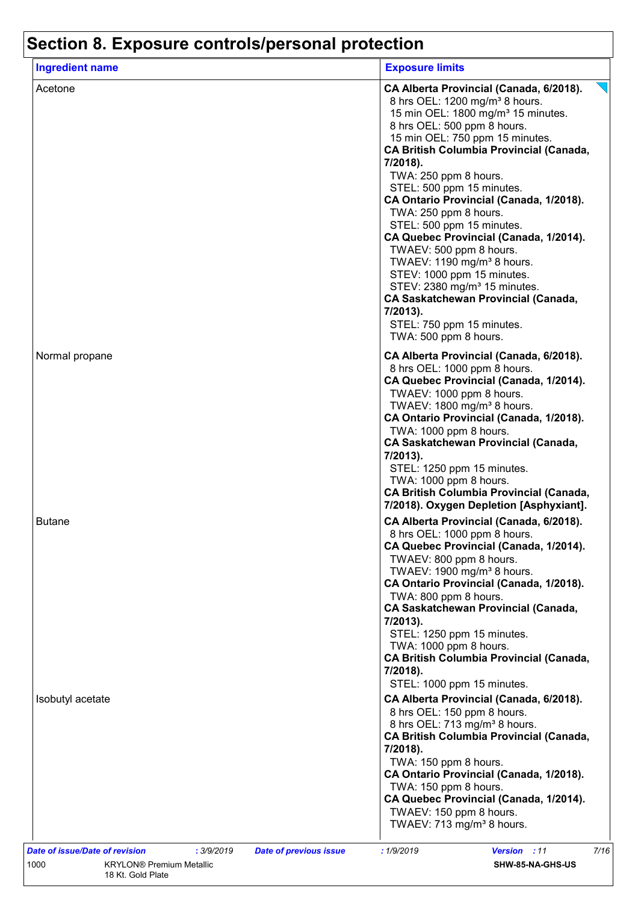| <b>Ingredient name</b> | <b>Exposure limits</b>                                                                                                                                                                                                                                                                                                                                                                                                                                                                                                                                                                                                                                                                                                                  |
|------------------------|-----------------------------------------------------------------------------------------------------------------------------------------------------------------------------------------------------------------------------------------------------------------------------------------------------------------------------------------------------------------------------------------------------------------------------------------------------------------------------------------------------------------------------------------------------------------------------------------------------------------------------------------------------------------------------------------------------------------------------------------|
| Acetone                | CA Alberta Provincial (Canada, 6/2018).<br>8 hrs OEL: 1200 mg/m <sup>3</sup> 8 hours.<br>15 min OEL: 1800 mg/m <sup>3</sup> 15 minutes.<br>8 hrs OEL: 500 ppm 8 hours.<br>15 min OEL: 750 ppm 15 minutes.<br><b>CA British Columbia Provincial (Canada,</b><br>7/2018).<br>TWA: 250 ppm 8 hours.<br>STEL: 500 ppm 15 minutes.<br>CA Ontario Provincial (Canada, 1/2018).<br>TWA: 250 ppm 8 hours.<br>STEL: 500 ppm 15 minutes.<br>CA Quebec Provincial (Canada, 1/2014).<br>TWAEV: 500 ppm 8 hours.<br>TWAEV: 1190 mg/m <sup>3</sup> 8 hours.<br>STEV: 1000 ppm 15 minutes.<br>STEV: 2380 mg/m <sup>3</sup> 15 minutes.<br><b>CA Saskatchewan Provincial (Canada,</b><br>7/2013).<br>STEL: 750 ppm 15 minutes.<br>TWA: 500 ppm 8 hours. |
| Normal propane         | CA Alberta Provincial (Canada, 6/2018).<br>8 hrs OEL: 1000 ppm 8 hours.<br>CA Quebec Provincial (Canada, 1/2014).<br>TWAEV: 1000 ppm 8 hours.<br>TWAEV: 1800 mg/m <sup>3</sup> 8 hours.<br>CA Ontario Provincial (Canada, 1/2018).<br>TWA: 1000 ppm 8 hours.<br><b>CA Saskatchewan Provincial (Canada,</b><br>7/2013).<br>STEL: 1250 ppm 15 minutes.<br>TWA: 1000 ppm 8 hours.<br><b>CA British Columbia Provincial (Canada,</b><br>7/2018). Oxygen Depletion [Asphyxiant].                                                                                                                                                                                                                                                             |
| <b>Butane</b>          | CA Alberta Provincial (Canada, 6/2018).<br>8 hrs OEL: 1000 ppm 8 hours.<br>CA Quebec Provincial (Canada, 1/2014).<br>TWAEV: 800 ppm 8 hours.<br>TWAEV: 1900 mg/m <sup>3</sup> 8 hours.<br>CA Ontario Provincial (Canada, 1/2018).<br>TWA: 800 ppm 8 hours.<br><b>CA Saskatchewan Provincial (Canada,</b><br>7/2013).<br>STEL: 1250 ppm 15 minutes.<br>TWA: 1000 ppm 8 hours.<br><b>CA British Columbia Provincial (Canada,</b><br>7/2018).<br>STEL: 1000 ppm 15 minutes.                                                                                                                                                                                                                                                                |
| Isobutyl acetate       | CA Alberta Provincial (Canada, 6/2018).<br>8 hrs OEL: 150 ppm 8 hours.<br>8 hrs OEL: 713 mg/m <sup>3</sup> 8 hours.<br><b>CA British Columbia Provincial (Canada,</b><br>7/2018).<br>TWA: 150 ppm 8 hours.<br>CA Ontario Provincial (Canada, 1/2018).<br>TWA: 150 ppm 8 hours.<br>CA Quebec Provincial (Canada, 1/2014).<br>TWAEV: 150 ppm 8 hours.<br>TWAEV: 713 mg/m <sup>3</sup> 8 hours.                                                                                                                                                                                                                                                                                                                                            |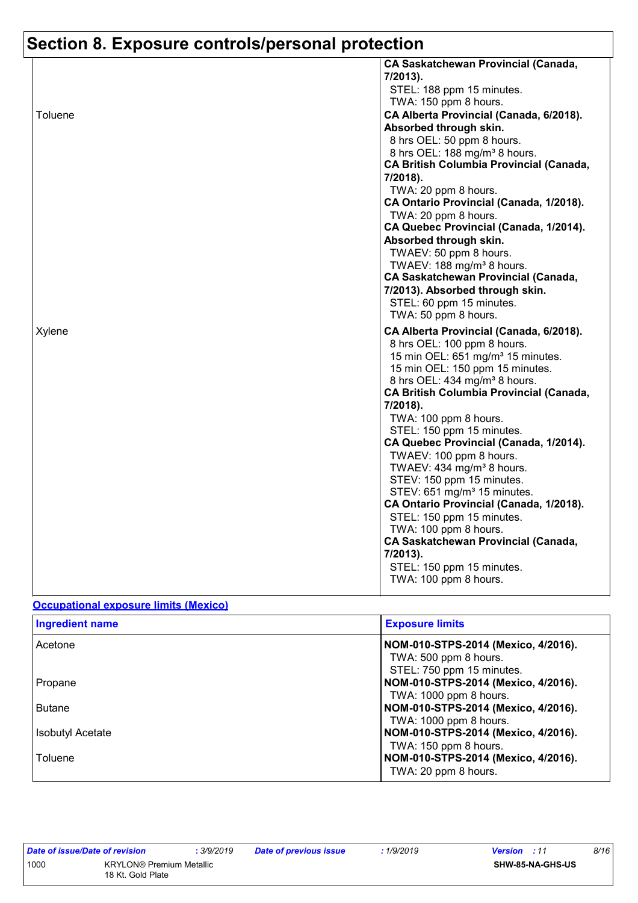|         | <b>CA Saskatchewan Provincial (Canada,</b>                                          |
|---------|-------------------------------------------------------------------------------------|
|         | 7/2013).                                                                            |
|         | STEL: 188 ppm 15 minutes.                                                           |
|         | TWA: 150 ppm 8 hours.                                                               |
| Toluene | CA Alberta Provincial (Canada, 6/2018).                                             |
|         | Absorbed through skin.                                                              |
|         | 8 hrs OEL: 50 ppm 8 hours.                                                          |
|         | 8 hrs OEL: 188 mg/m <sup>3</sup> 8 hours.                                           |
|         | <b>CA British Columbia Provincial (Canada,</b>                                      |
|         | 7/2018).                                                                            |
|         | TWA: 20 ppm 8 hours.                                                                |
|         | CA Ontario Provincial (Canada, 1/2018).                                             |
|         | TWA: 20 ppm 8 hours.                                                                |
|         | CA Quebec Provincial (Canada, 1/2014).                                              |
|         | Absorbed through skin.                                                              |
|         | TWAEV: 50 ppm 8 hours.                                                              |
|         | TWAEV: 188 mg/m <sup>3</sup> 8 hours.<br><b>CA Saskatchewan Provincial (Canada,</b> |
|         | 7/2013). Absorbed through skin.                                                     |
|         | STEL: 60 ppm 15 minutes.                                                            |
|         | TWA: 50 ppm 8 hours.                                                                |
| Xylene  | CA Alberta Provincial (Canada, 6/2018).                                             |
|         | 8 hrs OEL: 100 ppm 8 hours.                                                         |
|         | 15 min OEL: 651 mg/m <sup>3</sup> 15 minutes.                                       |
|         | 15 min OEL: 150 ppm 15 minutes.                                                     |
|         | 8 hrs OEL: 434 mg/m <sup>3</sup> 8 hours.                                           |
|         | <b>CA British Columbia Provincial (Canada,</b>                                      |
|         | 7/2018).                                                                            |
|         | TWA: 100 ppm 8 hours.                                                               |
|         | STEL: 150 ppm 15 minutes.                                                           |
|         | CA Quebec Provincial (Canada, 1/2014).                                              |
|         | TWAEV: 100 ppm 8 hours.                                                             |
|         | TWAEV: 434 mg/m <sup>3</sup> 8 hours.                                               |
|         | STEV: 150 ppm 15 minutes.                                                           |
|         | STEV: 651 mg/m <sup>3</sup> 15 minutes.<br>CA Ontario Provincial (Canada, 1/2018).  |
|         | STEL: 150 ppm 15 minutes.                                                           |
|         | TWA: 100 ppm 8 hours.                                                               |
|         |                                                                                     |
|         |                                                                                     |
|         | <b>CA Saskatchewan Provincial (Canada,</b>                                          |
|         | 7/2013).                                                                            |
|         | STEL: 150 ppm 15 minutes.<br>TWA: 100 ppm 8 hours.                                  |

#### **Occupational exposure limits (Mexico)**

| <b>Ingredient name</b>  | <b>Exposure limits</b>                                                                    |  |  |
|-------------------------|-------------------------------------------------------------------------------------------|--|--|
| Acetone                 | NOM-010-STPS-2014 (Mexico, 4/2016).<br>TWA: 500 ppm 8 hours.<br>STEL: 750 ppm 15 minutes. |  |  |
| <b>Propane</b>          | NOM-010-STPS-2014 (Mexico, 4/2016).                                                       |  |  |
| <b>Butane</b>           | TWA: 1000 ppm 8 hours.<br>NOM-010-STPS-2014 (Mexico, 4/2016).                             |  |  |
| <b>Isobutyl Acetate</b> | TWA: 1000 ppm 8 hours.<br>NOM-010-STPS-2014 (Mexico, 4/2016).                             |  |  |
| Toluene                 | TWA: 150 ppm 8 hours.<br>NOM-010-STPS-2014 (Mexico, 4/2016).<br>TWA: 20 ppm 8 hours.      |  |  |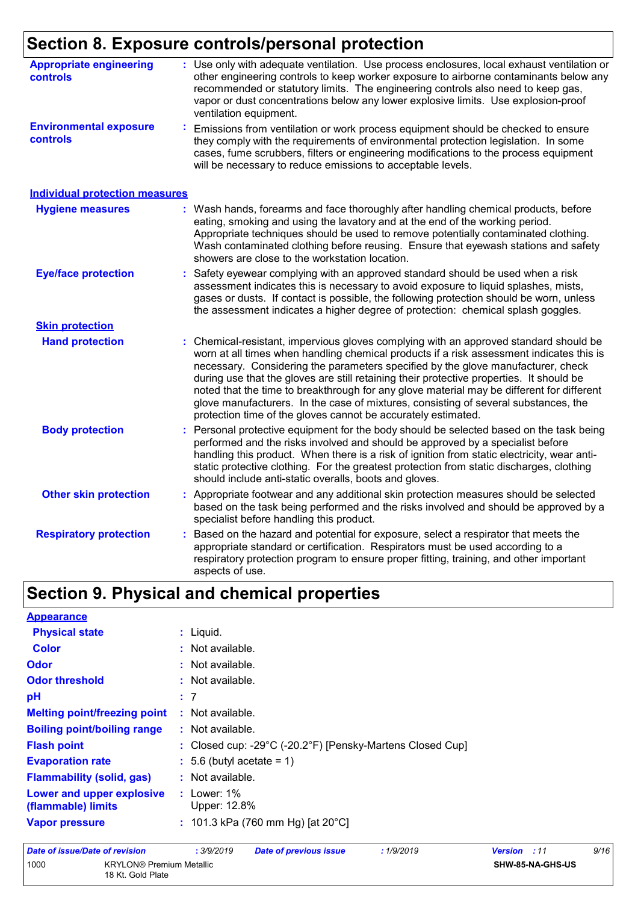| <b>Appropriate engineering</b><br><b>controls</b> | : Use only with adequate ventilation. Use process enclosures, local exhaust ventilation or<br>other engineering controls to keep worker exposure to airborne contaminants below any<br>recommended or statutory limits. The engineering controls also need to keep gas,<br>vapor or dust concentrations below any lower explosive limits. Use explosion-proof<br>ventilation equipment.                                                                                                                                                                                                                              |
|---------------------------------------------------|----------------------------------------------------------------------------------------------------------------------------------------------------------------------------------------------------------------------------------------------------------------------------------------------------------------------------------------------------------------------------------------------------------------------------------------------------------------------------------------------------------------------------------------------------------------------------------------------------------------------|
| <b>Environmental exposure</b><br>controls         | Emissions from ventilation or work process equipment should be checked to ensure<br>they comply with the requirements of environmental protection legislation. In some<br>cases, fume scrubbers, filters or engineering modifications to the process equipment<br>will be necessary to reduce emissions to acceptable levels.                                                                                                                                                                                                                                                                                        |
| <b>Individual protection measures</b>             |                                                                                                                                                                                                                                                                                                                                                                                                                                                                                                                                                                                                                      |
| <b>Hygiene measures</b>                           | : Wash hands, forearms and face thoroughly after handling chemical products, before<br>eating, smoking and using the lavatory and at the end of the working period.<br>Appropriate techniques should be used to remove potentially contaminated clothing.<br>Wash contaminated clothing before reusing. Ensure that eyewash stations and safety<br>showers are close to the workstation location.                                                                                                                                                                                                                    |
| <b>Eye/face protection</b>                        | Safety eyewear complying with an approved standard should be used when a risk<br>assessment indicates this is necessary to avoid exposure to liquid splashes, mists,<br>gases or dusts. If contact is possible, the following protection should be worn, unless<br>the assessment indicates a higher degree of protection: chemical splash goggles.                                                                                                                                                                                                                                                                  |
| <b>Skin protection</b>                            |                                                                                                                                                                                                                                                                                                                                                                                                                                                                                                                                                                                                                      |
| <b>Hand protection</b>                            | Chemical-resistant, impervious gloves complying with an approved standard should be<br>worn at all times when handling chemical products if a risk assessment indicates this is<br>necessary. Considering the parameters specified by the glove manufacturer, check<br>during use that the gloves are still retaining their protective properties. It should be<br>noted that the time to breakthrough for any glove material may be different for different<br>glove manufacturers. In the case of mixtures, consisting of several substances, the<br>protection time of the gloves cannot be accurately estimated. |
| <b>Body protection</b>                            | Personal protective equipment for the body should be selected based on the task being<br>performed and the risks involved and should be approved by a specialist before<br>handling this product. When there is a risk of ignition from static electricity, wear anti-<br>static protective clothing. For the greatest protection from static discharges, clothing<br>should include anti-static overalls, boots and gloves.                                                                                                                                                                                         |
| <b>Other skin protection</b>                      | : Appropriate footwear and any additional skin protection measures should be selected<br>based on the task being performed and the risks involved and should be approved by a<br>specialist before handling this product.                                                                                                                                                                                                                                                                                                                                                                                            |
| <b>Respiratory protection</b>                     | Based on the hazard and potential for exposure, select a respirator that meets the<br>t.<br>appropriate standard or certification. Respirators must be used according to a<br>respiratory protection program to ensure proper fitting, training, and other important<br>aspects of use.                                                                                                                                                                                                                                                                                                                              |

## **Section 9. Physical and chemical properties**

| $:$ Liquid.                                               |
|-----------------------------------------------------------|
| : Not available.                                          |
| : Not available.                                          |
| $:$ Not available.                                        |
| : 7                                                       |
| $:$ Not available.                                        |
| $:$ Not available.                                        |
| : Closed cup: -29°C (-20.2°F) [Pensky-Martens Closed Cup] |
| $\div$ 5.6 (butyl acetate = 1)                            |
| : Not available.                                          |
| $:$ Lower: 1%<br>Upper: 12.8%                             |
| : 101.3 kPa (760 mm Hg) [at 20 °C]                        |
|                                                           |

| Date of issue/Date of revision |                                                      | . 3/9/2019 | <b>Date of previous issue</b> | : 1/9/2019 | <b>Version</b> : 11 |                  | 9/16 |
|--------------------------------|------------------------------------------------------|------------|-------------------------------|------------|---------------------|------------------|------|
| 1000                           | <b>KRYLON®</b> Premium Metallic<br>18 Kt. Gold Plate |            |                               |            |                     | SHW-85-NA-GHS-US |      |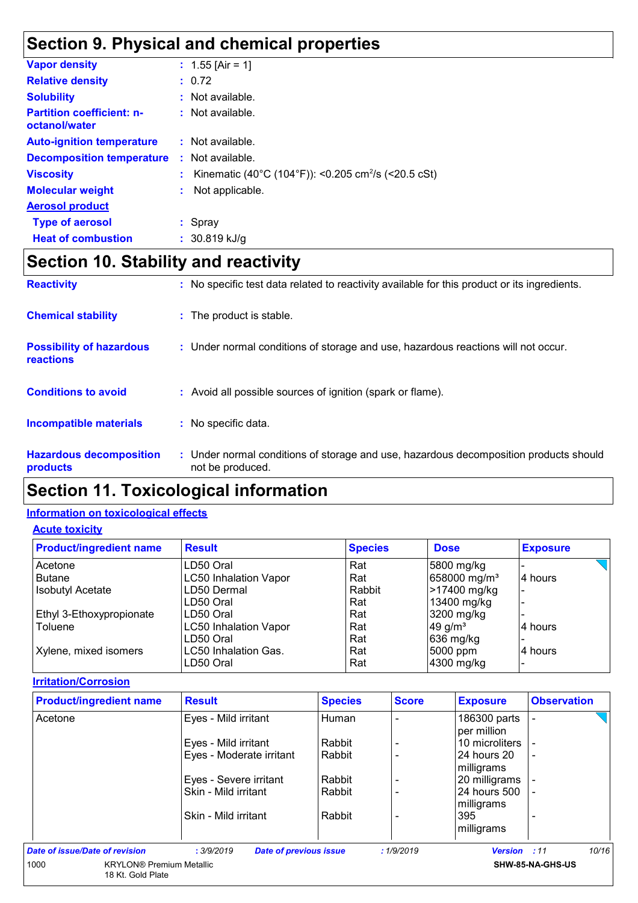## **Section 9. Physical and chemical properties**

| <b>Vapor density</b>                              | : $1.55$ [Air = 1]                                              |
|---------------------------------------------------|-----------------------------------------------------------------|
| <b>Relative density</b>                           | : 0.72                                                          |
| <b>Solubility</b>                                 | $:$ Not available.                                              |
| <b>Partition coefficient: n-</b><br>octanol/water | $:$ Not available.                                              |
| <b>Auto-ignition temperature</b>                  | $:$ Not available.                                              |
| <b>Decomposition temperature</b>                  | $:$ Not available.                                              |
| <b>Viscosity</b>                                  | Kinematic (40°C (104°F)): <0.205 cm <sup>2</sup> /s (<20.5 cSt) |
| <b>Molecular weight</b>                           | Not applicable.                                                 |
| <b>Aerosol product</b>                            |                                                                 |
| <b>Type of aerosol</b>                            | $:$ Spray                                                       |
| <b>Heat of combustion</b>                         | $: 30.819$ kJ/g                                                 |
|                                                   |                                                                 |

## **Section 10. Stability and reactivity**

| <b>Reactivity</b>                                   | : No specific test data related to reactivity available for this product or its ingredients.            |
|-----------------------------------------------------|---------------------------------------------------------------------------------------------------------|
| <b>Chemical stability</b>                           | : The product is stable.                                                                                |
| <b>Possibility of hazardous</b><br><b>reactions</b> | : Under normal conditions of storage and use, hazardous reactions will not occur.                       |
| <b>Conditions to avoid</b>                          | : Avoid all possible sources of ignition (spark or flame).                                              |
| <b>Incompatible materials</b>                       | : No specific data.                                                                                     |
| <b>Hazardous decomposition</b><br>products          | Under normal conditions of storage and use, hazardous decomposition products should<br>not be produced. |

## **Section 11. Toxicological information**

#### **Information on toxicological effects**

#### **Acute toxicity**

| <b>Product/ingredient name</b> | <b>Result</b>                | <b>Species</b> | <b>Dose</b>              | <b>Exposure</b> |
|--------------------------------|------------------------------|----------------|--------------------------|-----------------|
| Acetone                        | LD50 Oral                    | Rat            | 5800 mg/kg               |                 |
| <b>Butane</b>                  | <b>LC50 Inhalation Vapor</b> | Rat            | 658000 mg/m <sup>3</sup> | 4 hours         |
| <b>Isobutyl Acetate</b>        | LD50 Dermal                  | Rabbit         | >17400 mg/kg             |                 |
|                                | LD50 Oral                    | Rat            | 13400 mg/kg              |                 |
| Ethyl 3-Ethoxypropionate       | LD50 Oral                    | Rat            | 3200 mg/kg               |                 |
| Toluene                        | <b>LC50 Inhalation Vapor</b> | Rat            | $49$ g/m <sup>3</sup>    | 4 hours         |
|                                | LD50 Oral                    | Rat            | 636 mg/kg                |                 |
| Xylene, mixed isomers          | LC50 Inhalation Gas.         | Rat            | 5000 ppm                 | 4 hours         |
|                                | LD50 Oral                    | Rat            | 4300 mg/kg               |                 |

#### **Irritation/Corrosion**

| <b>Product/ingredient name</b>                               | <b>Result</b>                               | <b>Species</b> | <b>Score</b> | <b>Exposure</b>             | <b>Observation</b>       |
|--------------------------------------------------------------|---------------------------------------------|----------------|--------------|-----------------------------|--------------------------|
| Acetone                                                      | Eyes - Mild irritant                        | Human          |              | 186300 parts<br>per million |                          |
|                                                              | Eyes - Mild irritant                        | Rabbit         |              | 10 microliters              |                          |
|                                                              | Eyes - Moderate irritant                    | Rabbit         |              | 24 hours 20<br>milligrams   | $\overline{\phantom{0}}$ |
|                                                              | Eyes - Severe irritant                      | Rabbit         |              | 20 milligrams               |                          |
|                                                              | Skin - Mild irritant                        | Rabbit         |              | 24 hours 500<br>milligrams  |                          |
|                                                              | Skin - Mild irritant                        | Rabbit         |              | 395<br>milligrams           |                          |
| Date of issue/Date of revision                               | : 3/9/2019<br><b>Date of previous issue</b> |                | :1/9/2019    | Version : 11                | 10/16                    |
| 1000<br><b>KRYLON®</b> Premium Metallic<br>18 Kt. Gold Plate |                                             |                |              |                             | SHW-85-NA-GHS-US         |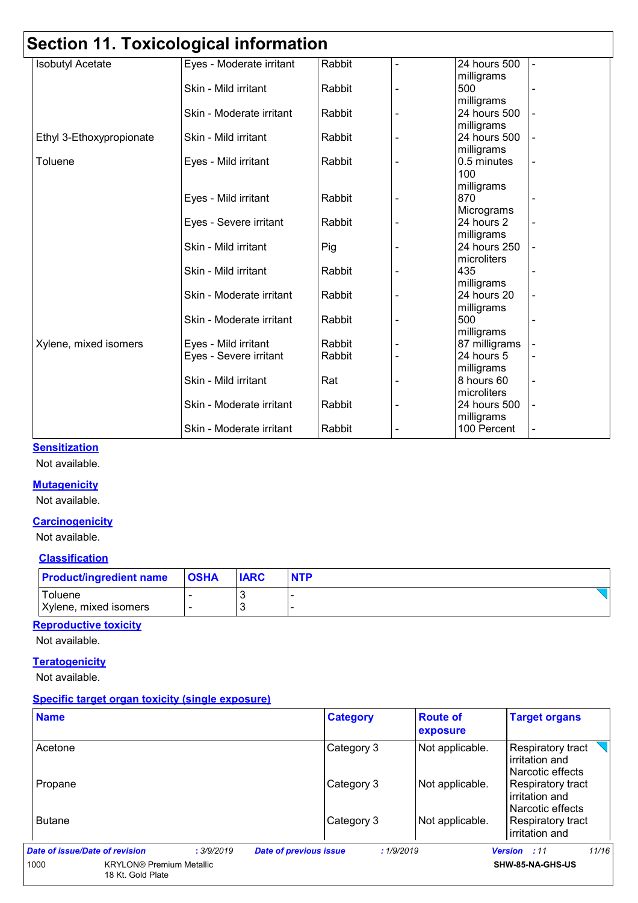## **Section 11. Toxicological information**

|                          | <b>OGCHOFF FI. FOAIGOIOGICAL IIIIOI IIIAHOIT</b> |        |                              |               |                          |
|--------------------------|--------------------------------------------------|--------|------------------------------|---------------|--------------------------|
| <b>Isobutyl Acetate</b>  | Eyes - Moderate irritant                         | Rabbit | $\blacksquare$               | 24 hours 500  |                          |
|                          |                                                  |        |                              | milligrams    |                          |
|                          | Skin - Mild irritant                             | Rabbit |                              | 500           |                          |
|                          |                                                  |        |                              | milligrams    |                          |
|                          | Skin - Moderate irritant                         | Rabbit |                              | 24 hours 500  |                          |
|                          |                                                  |        |                              | milligrams    |                          |
| Ethyl 3-Ethoxypropionate | Skin - Mild irritant                             | Rabbit |                              | 24 hours 500  |                          |
|                          |                                                  |        |                              | milligrams    |                          |
| Toluene                  | Eyes - Mild irritant                             | Rabbit |                              | 0.5 minutes   |                          |
|                          |                                                  |        |                              | 100           |                          |
|                          |                                                  |        |                              | milligrams    |                          |
|                          | Eyes - Mild irritant                             | Rabbit | $\overline{\phantom{a}}$     | 870           |                          |
|                          |                                                  |        |                              | Micrograms    |                          |
|                          | Eyes - Severe irritant                           | Rabbit |                              | 24 hours 2    |                          |
|                          |                                                  |        |                              | milligrams    |                          |
|                          | Skin - Mild irritant                             | Pig    |                              | 24 hours 250  |                          |
|                          |                                                  |        |                              | microliters   |                          |
|                          | Skin - Mild irritant                             | Rabbit | L,                           | 435           | $\overline{\phantom{0}}$ |
|                          |                                                  |        |                              | milligrams    |                          |
|                          | Skin - Moderate irritant                         | Rabbit |                              | 24 hours 20   |                          |
|                          |                                                  |        |                              | milligrams    |                          |
|                          | Skin - Moderate irritant                         | Rabbit | $\overline{\phantom{a}}$     | 500           |                          |
|                          |                                                  |        |                              | milligrams    |                          |
| Xylene, mixed isomers    | Eyes - Mild irritant                             | Rabbit |                              | 87 milligrams |                          |
|                          | Eyes - Severe irritant                           | Rabbit | $\blacksquare$               | 24 hours 5    | $\blacksquare$           |
|                          |                                                  |        |                              | milligrams    |                          |
|                          | Skin - Mild irritant                             | Rat    |                              | 8 hours 60    | $\overline{\phantom{a}}$ |
|                          |                                                  |        |                              | microliters   |                          |
|                          | Skin - Moderate irritant                         | Rabbit | $\overline{a}$               | 24 hours 500  |                          |
|                          |                                                  |        |                              | milligrams    |                          |
|                          | Skin - Moderate irritant                         | Rabbit | $\qquad \qquad \blacksquare$ | 100 Percent   | $\overline{\phantom{a}}$ |

#### **Sensitization**

Not available.

#### **Mutagenicity**

Not available.

#### **Carcinogenicity**

Not available.

#### **Classification**

| <b>Product/ingredient name</b>   | <b>OSHA</b> | <b>IARC</b> | <b>NTP</b> |
|----------------------------------|-------------|-------------|------------|
| Toluene<br>Xylene, mixed isomers |             |             |            |

#### **Reproductive toxicity**

Not available.

#### **Teratogenicity**

Not available.

#### **Specific target organ toxicity (single exposure)**

| <b>Name</b>                                                  |            | <b>Category</b>                            | <b>Route of</b><br>exposure | <b>Target organs</b>                                      |
|--------------------------------------------------------------|------------|--------------------------------------------|-----------------------------|-----------------------------------------------------------|
| Acetone                                                      |            | Category 3                                 | Not applicable.             | Respiratory tract<br>irritation and<br>l Narcotic effects |
| Propane                                                      |            | Category 3                                 | Not applicable.             | Respiratory tract<br>irritation and<br>Narcotic effects   |
| <b>Butane</b>                                                |            | Category 3                                 | Not applicable.             | Respiratory tract<br>irritation and                       |
| Date of issue/Date of revision                               | : 3/9/2019 | <b>Date of previous issue</b><br>:1/9/2019 |                             | 11/16<br><b>Version</b><br>:11                            |
| 1000<br><b>KRYLON®</b> Premium Metallic<br>18 Kt. Gold Plate |            |                                            |                             | SHW-85-NA-GHS-US                                          |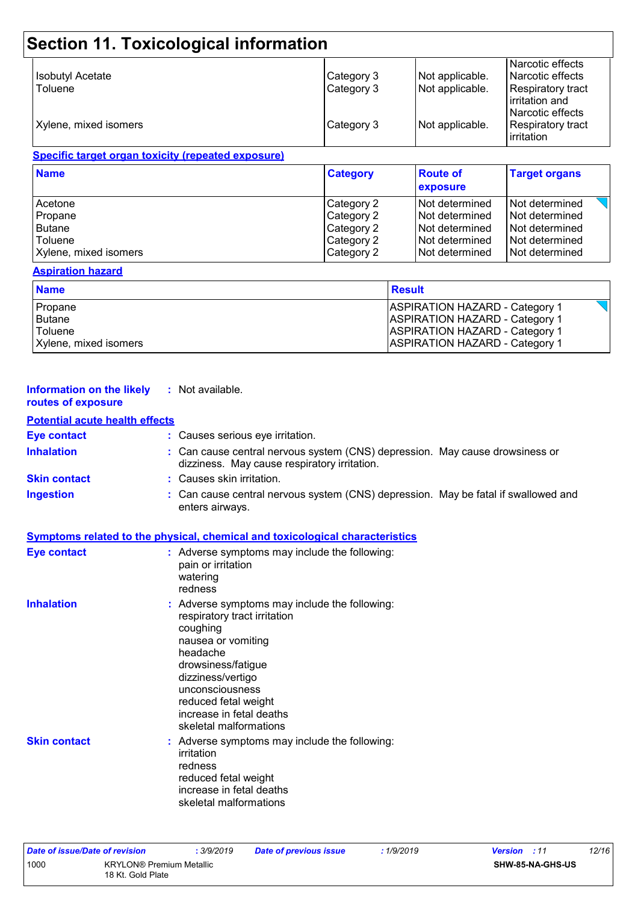|                         |            |                 | Narcotic effects                                        |
|-------------------------|------------|-----------------|---------------------------------------------------------|
| <b>Isobutyl Acetate</b> | Category 3 | Not applicable. | Narcotic effects                                        |
| Toluene                 | Category 3 | Not applicable. | Respiratory tract<br>irritation and<br>Narcotic effects |
| Xylene, mixed isomers   | Category 3 | Not applicable. | Respiratory tract<br>irritation                         |

| <b>Name</b>           | <b>Category</b> | <b>Route of</b><br><b>exposure</b> | <b>Target organs</b> |
|-----------------------|-----------------|------------------------------------|----------------------|
| Acetone               | Category 2      | Not determined                     | Not determined       |
| Propane               | Category 2      | <b>Not determined</b>              | Not determined       |
| <b>Butane</b>         | Category 2      | Not determined                     | Not determined       |
| Toluene               | Category 2      | Not determined                     | l Not determined     |
| Xylene, mixed isomers | Category 2      | Not determined                     | l Not determined     |

#### **Aspiration hazard**

| <b>Name</b>           | <b>Result</b>                         |
|-----------------------|---------------------------------------|
| Propane               | <b>ASPIRATION HAZARD - Category 1</b> |
| Butane                | <b>ASPIRATION HAZARD - Category 1</b> |
| Toluene               | <b>ASPIRATION HAZARD - Category 1</b> |
| Xylene, mixed isomers | <b>ASPIRATION HAZARD - Category 1</b> |

| <b>Information on the likely</b><br>routes of exposure | : Not available.                                                                                                                                                                                                                                                        |
|--------------------------------------------------------|-------------------------------------------------------------------------------------------------------------------------------------------------------------------------------------------------------------------------------------------------------------------------|
| <b>Potential acute health effects</b>                  |                                                                                                                                                                                                                                                                         |
| <b>Eye contact</b>                                     | : Causes serious eye irritation.                                                                                                                                                                                                                                        |
| <b>Inhalation</b>                                      | : Can cause central nervous system (CNS) depression. May cause drowsiness or<br>dizziness. May cause respiratory irritation.                                                                                                                                            |
| <b>Skin contact</b>                                    | : Causes skin irritation.                                                                                                                                                                                                                                               |
| <b>Ingestion</b>                                       | : Can cause central nervous system (CNS) depression. May be fatal if swallowed and<br>enters airways.                                                                                                                                                                   |
|                                                        | Symptoms related to the physical, chemical and toxicological characteristics                                                                                                                                                                                            |
| <b>Eye contact</b>                                     | : Adverse symptoms may include the following:<br>pain or irritation<br>watering<br>redness                                                                                                                                                                              |
| <b>Inhalation</b>                                      | : Adverse symptoms may include the following:<br>respiratory tract irritation<br>coughing<br>nausea or vomiting<br>headache<br>drowsiness/fatigue<br>dizziness/vertigo<br>unconsciousness<br>reduced fetal weight<br>increase in fetal deaths<br>skeletal malformations |
| <b>Skin contact</b>                                    | : Adverse symptoms may include the following:<br>irritation<br>redness<br>reduced fetal weight<br>increase in fetal deaths<br>skeletal malformations                                                                                                                    |

| Date of issue/Date of revision |                                                      | : 3/9/2019 | Date of previous issue | 1/9/2019 | <b>Version</b> : 11 |                  | 12/16 |
|--------------------------------|------------------------------------------------------|------------|------------------------|----------|---------------------|------------------|-------|
| 1000                           | <b>KRYLON®</b> Premium Metallic<br>18 Kt. Gold Plate |            |                        |          |                     | SHW-85-NA-GHS-US |       |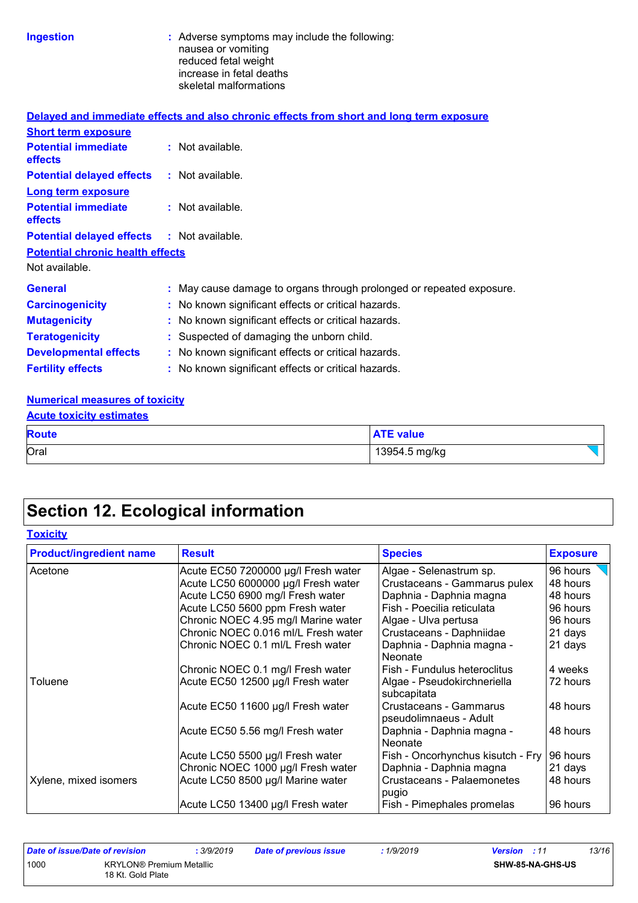| Ingestion |  |  |  |
|-----------|--|--|--|
|           |  |  |  |

**Ingestion highlenging include that is a strong include the following:** nausea or vomiting reduced fetal weight increase in fetal deaths skeletal malformations

|                                                   | Delayed and immediate effects and also chronic effects from short and long term exposure |
|---------------------------------------------------|------------------------------------------------------------------------------------------|
| <b>Short term exposure</b>                        |                                                                                          |
| <b>Potential immediate</b><br><b>effects</b>      | $:$ Not available.                                                                       |
| <b>Potential delayed effects</b>                  | : Not available.                                                                         |
| <b>Long term exposure</b>                         |                                                                                          |
| <b>Potential immediate</b><br><b>effects</b>      | $:$ Not available.                                                                       |
| <b>Potential delayed effects : Not available.</b> |                                                                                          |
| <b>Potential chronic health effects</b>           |                                                                                          |
| Not available.                                    |                                                                                          |
| <b>General</b>                                    | : May cause damage to organs through prolonged or repeated exposure.                     |
| <b>Carcinogenicity</b>                            | : No known significant effects or critical hazards.                                      |
| <b>Mutagenicity</b>                               | : No known significant effects or critical hazards.                                      |
| <b>Teratogenicity</b>                             | : Suspected of damaging the unborn child.                                                |
| <b>Developmental effects</b>                      | : No known significant effects or critical hazards.                                      |
| <b>Fertility effects</b>                          | : No known significant effects or critical hazards.                                      |

#### **Numerical measures of toxicity**

| <b>Acute toxicity estimates</b> |                  |  |  |  |  |
|---------------------------------|------------------|--|--|--|--|
| <b>Route</b>                    | <b>ATE value</b> |  |  |  |  |
| Oral                            | 13954.5 mg/kg    |  |  |  |  |

## **Section 12. Ecological information**

|  |  | Toxicitv |
|--|--|----------|
|  |  |          |

| <b>Product/ingredient name</b> | <b>Result</b>                       | <b>Species</b>                                   | <b>Exposure</b> |  |
|--------------------------------|-------------------------------------|--------------------------------------------------|-----------------|--|
| Acetone                        | Acute EC50 7200000 µg/l Fresh water | Algae - Selenastrum sp.                          | 96 hours        |  |
|                                | Acute LC50 6000000 µg/l Fresh water | Crustaceans - Gammarus pulex                     | 48 hours        |  |
|                                | Acute LC50 6900 mg/l Fresh water    | Daphnia - Daphnia magna                          | 48 hours        |  |
|                                | Acute LC50 5600 ppm Fresh water     | Fish - Poecilia reticulata                       | 96 hours        |  |
|                                | Chronic NOEC 4.95 mg/l Marine water | Algae - Ulva pertusa                             | 96 hours        |  |
|                                | Chronic NOEC 0.016 ml/L Fresh water | Crustaceans - Daphniidae                         | 21 days         |  |
|                                | Chronic NOEC 0.1 ml/L Fresh water   | Daphnia - Daphnia magna -<br><b>Neonate</b>      | 21 days         |  |
|                                | Chronic NOEC 0.1 mg/l Fresh water   | Fish - Fundulus heteroclitus                     | 4 weeks         |  |
| Toluene                        | Acute EC50 12500 µg/l Fresh water   | Algae - Pseudokirchneriella<br>subcapitata       | 72 hours        |  |
|                                | Acute EC50 11600 µg/l Fresh water   | Crustaceans - Gammarus<br>pseudolimnaeus - Adult | 48 hours        |  |
|                                | Acute EC50 5.56 mg/l Fresh water    | Daphnia - Daphnia magna -<br><b>Neonate</b>      | 48 hours        |  |
|                                | Acute LC50 5500 µg/l Fresh water    | Fish - Oncorhynchus kisutch - Fry                | 96 hours        |  |
|                                | Chronic NOEC 1000 µg/l Fresh water  | Daphnia - Daphnia magna                          | 21 days         |  |
| Xylene, mixed isomers          | Acute LC50 8500 µg/l Marine water   | Crustaceans - Palaemonetes<br>pugio              | 48 hours        |  |
|                                | Acute LC50 13400 µg/l Fresh water   | Fish - Pimephales promelas                       | 96 hours        |  |

| Date of issue/Date of revision |                                                      | 3/9/2019 | <b>Date of previous issue</b> | 1/9/2019 | <b>Version</b> : 11 |                         | 13/16 |
|--------------------------------|------------------------------------------------------|----------|-------------------------------|----------|---------------------|-------------------------|-------|
| 1000                           | <b>KRYLON®</b> Premium Metallic<br>18 Kt. Gold Plate |          |                               |          |                     | <b>SHW-85-NA-GHS-US</b> |       |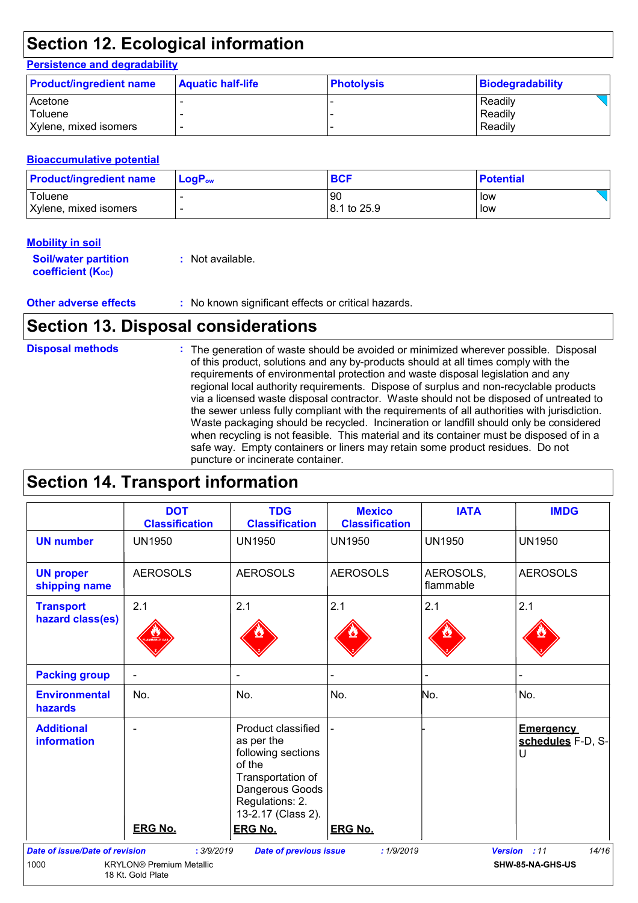## **Section 12. Ecological information**

#### **Persistence and degradability**

| <b>Product/ingredient name</b> | <b>Aquatic half-life</b> | <b>Photolysis</b> | Biodegradability |
|--------------------------------|--------------------------|-------------------|------------------|
| <b>Acetone</b>                 |                          |                   | Readily          |
| Toluene                        |                          |                   | Readily          |
| Xylene, mixed isomers          |                          |                   | Readily          |

#### **Bioaccumulative potential**

| <b>Product/ingredient name</b> | $LogPow$ | <b>BCF</b>  | <b>Potential</b> |
|--------------------------------|----------|-------------|------------------|
| Toluene                        |          | 90          | low              |
| Xylene, mixed isomers          |          | 8.1 to 25.9 | low              |

#### **Mobility in soil**

| <b>Soil/water partition</b> | : Not available. |
|-----------------------------|------------------|
| <b>coefficient (Koc)</b>    |                  |

**Other adverse effects** : No known significant effects or critical hazards.

## **Section 13. Disposal considerations**

| <b>Disposal methods</b> | : The generation of waste should be avoided or minimized wherever possible. Disposal<br>of this product, solutions and any by-products should at all times comply with the<br>requirements of environmental protection and waste disposal legislation and any<br>regional local authority requirements. Dispose of surplus and non-recyclable products<br>via a licensed waste disposal contractor. Waste should not be disposed of untreated to<br>the sewer unless fully compliant with the requirements of all authorities with jurisdiction.<br>Waste packaging should be recycled. Incineration or landfill should only be considered<br>when recycling is not feasible. This material and its container must be disposed of in a<br>safe way. Empty containers or liners may retain some product residues. Do not |
|-------------------------|-------------------------------------------------------------------------------------------------------------------------------------------------------------------------------------------------------------------------------------------------------------------------------------------------------------------------------------------------------------------------------------------------------------------------------------------------------------------------------------------------------------------------------------------------------------------------------------------------------------------------------------------------------------------------------------------------------------------------------------------------------------------------------------------------------------------------|
|                         | puncture or incinerate container.                                                                                                                                                                                                                                                                                                                                                                                                                                                                                                                                                                                                                                                                                                                                                                                       |

## **Section 14. Transport information**

|                                       | <b>DOT</b><br><b>Classification</b>                  | <b>TDG</b><br><b>Classification</b>                                                                                                                                 | <b>Mexico</b><br><b>Classification</b> | <b>IATA</b>            | <b>IMDG</b>                                |
|---------------------------------------|------------------------------------------------------|---------------------------------------------------------------------------------------------------------------------------------------------------------------------|----------------------------------------|------------------------|--------------------------------------------|
| <b>UN number</b>                      | <b>UN1950</b>                                        | <b>UN1950</b>                                                                                                                                                       | <b>UN1950</b>                          | <b>UN1950</b>          | <b>UN1950</b>                              |
| <b>UN proper</b><br>shipping name     | <b>AEROSOLS</b>                                      | <b>AEROSOLS</b>                                                                                                                                                     | <b>AEROSOLS</b>                        | AEROSOLS,<br>flammable | <b>AEROSOLS</b>                            |
| <b>Transport</b><br>hazard class(es)  | 2.1                                                  | 2.1                                                                                                                                                                 | 2.1                                    | 2.1                    | 2.1                                        |
| <b>Packing group</b>                  | $\blacksquare$                                       |                                                                                                                                                                     |                                        |                        |                                            |
| <b>Environmental</b><br>hazards       | No.                                                  | No.                                                                                                                                                                 | No.                                    | No.                    | No.                                        |
| <b>Additional</b><br>information      | <b>ERG No.</b>                                       | Product classified<br>as per the<br>following sections<br>of the<br>Transportation of<br>Dangerous Goods<br>Regulations: 2.<br>13-2.17 (Class 2).<br><b>ERG No.</b> | <b>ERG No.</b>                         |                        | <b>Emergency</b><br>schedules F-D, S-<br>U |
| <b>Date of issue/Date of revision</b> | : 3/9/2019                                           | <b>Date of previous issue</b>                                                                                                                                       | : 1/9/2019                             |                        | 14/16<br>Version : 11                      |
| 1000                                  | <b>KRYLON®</b> Premium Metallic<br>18 Kt. Gold Plate |                                                                                                                                                                     |                                        |                        | SHW-85-NA-GHS-US                           |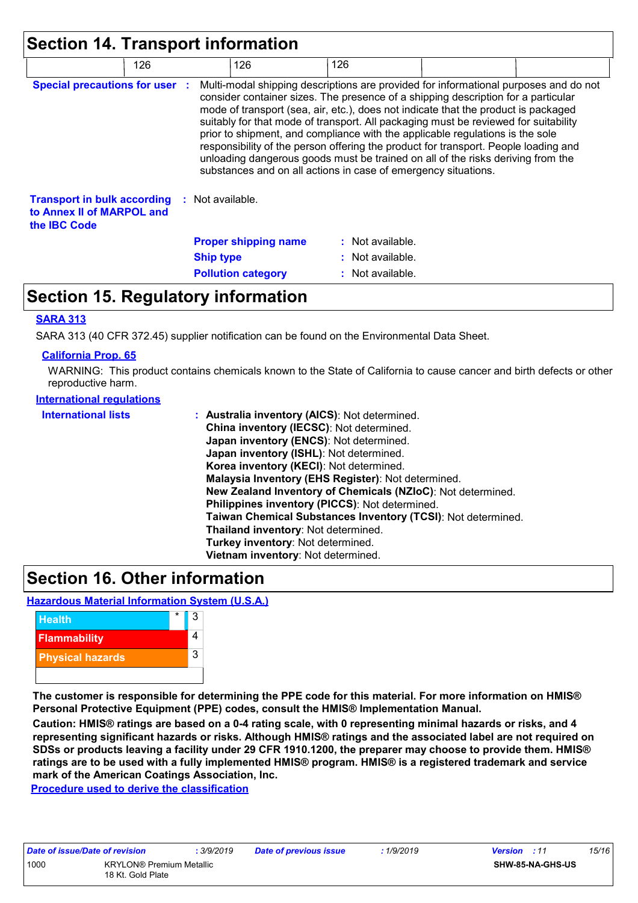| Section 14. Transport information                                                                       |                  |                                                                                                                                                                                                                                                                                                                                                                                                                                                                                                                                                                                                                                                                                     |     |                  |  |  |
|---------------------------------------------------------------------------------------------------------|------------------|-------------------------------------------------------------------------------------------------------------------------------------------------------------------------------------------------------------------------------------------------------------------------------------------------------------------------------------------------------------------------------------------------------------------------------------------------------------------------------------------------------------------------------------------------------------------------------------------------------------------------------------------------------------------------------------|-----|------------------|--|--|
| 126                                                                                                     |                  | 126                                                                                                                                                                                                                                                                                                                                                                                                                                                                                                                                                                                                                                                                                 | 126 |                  |  |  |
| <b>Special precautions for user :</b>                                                                   |                  | Multi-modal shipping descriptions are provided for informational purposes and do not<br>consider container sizes. The presence of a shipping description for a particular<br>mode of transport (sea, air, etc.), does not indicate that the product is packaged<br>suitably for that mode of transport. All packaging must be reviewed for suitability<br>prior to shipment, and compliance with the applicable regulations is the sole<br>responsibility of the person offering the product for transport. People loading and<br>unloading dangerous goods must be trained on all of the risks deriving from the<br>substances and on all actions in case of emergency situations. |     |                  |  |  |
| <b>Transport in bulk according : Not available.</b><br>to Annex II of MARPOL and<br>the <b>IBC</b> Code |                  |                                                                                                                                                                                                                                                                                                                                                                                                                                                                                                                                                                                                                                                                                     |     |                  |  |  |
|                                                                                                         |                  | <b>Proper shipping name</b>                                                                                                                                                                                                                                                                                                                                                                                                                                                                                                                                                                                                                                                         |     | : Not available. |  |  |
|                                                                                                         | <b>Ship type</b> |                                                                                                                                                                                                                                                                                                                                                                                                                                                                                                                                                                                                                                                                                     |     | : Not available. |  |  |
|                                                                                                         |                  | <b>Pollution category</b>                                                                                                                                                                                                                                                                                                                                                                                                                                                                                                                                                                                                                                                           |     | : Not available. |  |  |

### **Section 15. Regulatory information**

#### **SARA 313**

SARA 313 (40 CFR 372.45) supplier notification can be found on the Environmental Data Sheet.

#### **California Prop. 65**

WARNING: This product contains chemicals known to the State of California to cause cancer and birth defects or other reproductive harm.

#### **International regulations**

| <b>International lists</b> | : Australia inventory (AICS): Not determined.                |
|----------------------------|--------------------------------------------------------------|
|                            | China inventory (IECSC): Not determined.                     |
|                            | Japan inventory (ENCS): Not determined.                      |
|                            | Japan inventory (ISHL): Not determined.                      |
|                            | Korea inventory (KECI): Not determined.                      |
|                            | Malaysia Inventory (EHS Register): Not determined.           |
|                            | New Zealand Inventory of Chemicals (NZIoC): Not determined.  |
|                            | Philippines inventory (PICCS): Not determined.               |
|                            | Taiwan Chemical Substances Inventory (TCSI): Not determined. |
|                            | Thailand inventory: Not determined.                          |
|                            | Turkey inventory: Not determined.                            |
|                            | Vietnam inventory: Not determined.                           |

### **Section 16. Other information**

#### **Hazardous Material Information System (U.S.A.)**



**The customer is responsible for determining the PPE code for this material. For more information on HMIS® Personal Protective Equipment (PPE) codes, consult the HMIS® Implementation Manual.**

**Caution: HMIS® ratings are based on a 0-4 rating scale, with 0 representing minimal hazards or risks, and 4 representing significant hazards or risks. Although HMIS® ratings and the associated label are not required on SDSs or products leaving a facility under 29 CFR 1910.1200, the preparer may choose to provide them. HMIS® ratings are to be used with a fully implemented HMIS® program. HMIS® is a registered trademark and service mark of the American Coatings Association, Inc.**

**Procedure used to derive the classification**

| Date of issue/Date of revision |                                                      | : 3/9/2019 |
|--------------------------------|------------------------------------------------------|------------|
| 1000                           | <b>KRYLON®</b> Premium Metallic<br>18 Kt. Gold Plate |            |